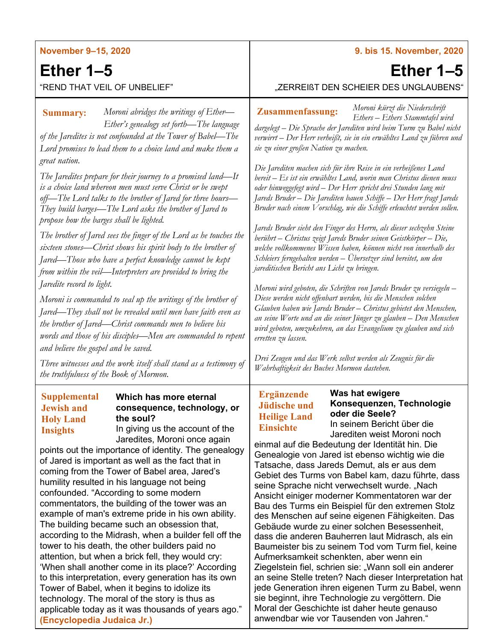| <b>November 9-15, 2020</b>                                                                                                                                                                                                                                                                                                                                                                                                                                                                                                                                                                                                                                                                                                                                                                                                                                                                                                                                                                                                                                                 | 9. bis 15. November, 2020                                                                                                                                                                                                                                                                                                                                                                                                                                                                                                                                                                                                                                                                                                                                                                                                                                                                                                                                                                                                                                                                                         |
|----------------------------------------------------------------------------------------------------------------------------------------------------------------------------------------------------------------------------------------------------------------------------------------------------------------------------------------------------------------------------------------------------------------------------------------------------------------------------------------------------------------------------------------------------------------------------------------------------------------------------------------------------------------------------------------------------------------------------------------------------------------------------------------------------------------------------------------------------------------------------------------------------------------------------------------------------------------------------------------------------------------------------------------------------------------------------|-------------------------------------------------------------------------------------------------------------------------------------------------------------------------------------------------------------------------------------------------------------------------------------------------------------------------------------------------------------------------------------------------------------------------------------------------------------------------------------------------------------------------------------------------------------------------------------------------------------------------------------------------------------------------------------------------------------------------------------------------------------------------------------------------------------------------------------------------------------------------------------------------------------------------------------------------------------------------------------------------------------------------------------------------------------------------------------------------------------------|
| Ether $1-5$                                                                                                                                                                                                                                                                                                                                                                                                                                                                                                                                                                                                                                                                                                                                                                                                                                                                                                                                                                                                                                                                | Ether $1-5$                                                                                                                                                                                                                                                                                                                                                                                                                                                                                                                                                                                                                                                                                                                                                                                                                                                                                                                                                                                                                                                                                                       |
| "REND THAT VEIL OF UNBELIEF"                                                                                                                                                                                                                                                                                                                                                                                                                                                                                                                                                                                                                                                                                                                                                                                                                                                                                                                                                                                                                                               | "ZERREIßT DEN SCHEIER DES UNGLAUBENS"                                                                                                                                                                                                                                                                                                                                                                                                                                                                                                                                                                                                                                                                                                                                                                                                                                                                                                                                                                                                                                                                             |
| Moroni abridges the writings of Ether-<br><b>Summary:</b><br>Ether's genealogy set forth—The language<br>of the Jaredites is not confounded at the Tower of Babel-The<br>Lord promises to lead them to a choice land and make them a                                                                                                                                                                                                                                                                                                                                                                                                                                                                                                                                                                                                                                                                                                                                                                                                                                       | Moroni kürzt die Niederschrift<br><b>Zusammenfassung:</b><br>Ethers - Ethers Stammtafel wird<br>dargelegt – Die Sprache der Jarediten wird beim Turm zu Babel nicht<br>verwirrt - Der Herr verheißt, sie in ein erwähltes Land zu führen und<br>sie zu einer großen Nation zu machen.                                                                                                                                                                                                                                                                                                                                                                                                                                                                                                                                                                                                                                                                                                                                                                                                                             |
| great nation.<br>The Jaredites prepare for their journey to a promised land—It<br>is a choice land whereon men must serve Christ or be swept<br>off—The Lord talks to the brother of Jared for three hours—<br>They build barges—The Lord asks the brother of Jared to<br>propose how the barges shall be lighted.                                                                                                                                                                                                                                                                                                                                                                                                                                                                                                                                                                                                                                                                                                                                                         | Die Jarediten machen sich für ihre Reise in ein verheißenes Land<br>bereit – Es ist ein erwähltes Land, worin man Christus dienen muss<br>oder hinweggefegt wird - Der Herr spricht drei Stunden lang mit<br>Jareds Bruder – Die Jarediten bauen Schiffe – Der Herr fragt Jareds<br>Bruder nach einem Vorschlag, wie die Schiffe erleuchtet werden sollen.<br>Jareds Bruder sieht den Finger des Herrn, als dieser sechzehn Steine                                                                                                                                                                                                                                                                                                                                                                                                                                                                                                                                                                                                                                                                                |
| The brother of Jared sees the finger of the Lord as he touches the<br>sixteen stones—Christ shows his spirit body to the brother of<br>Jared—Those who have a perfect knowledge cannot be kept<br>from within the veil-Interpreters are provided to bring the<br>Jaredite record to light.                                                                                                                                                                                                                                                                                                                                                                                                                                                                                                                                                                                                                                                                                                                                                                                 | berührt - Christus zeigt Jareds Bruder seinen Geistkörper - Die,<br>welche vollkommenes Wissen haben, können nicht von innerhalb des<br>Schleiers ferngehalten werden – Übersetzer sind bereitet, um den<br>jareditischen Bericht ans Licht zu bringen.<br>Moroni wird geboten, die Schriften von Jareds Bruder zu versiegeln –                                                                                                                                                                                                                                                                                                                                                                                                                                                                                                                                                                                                                                                                                                                                                                                   |
| Moroni is commanded to seal up the writings of the brother of<br>Jared—They shall not be revealed until men have faith even as<br>the brother of Jared—Christ commands men to believe his<br>words and those of his disciples—Men are commanded to repent<br>and believe the gospel and be saved.                                                                                                                                                                                                                                                                                                                                                                                                                                                                                                                                                                                                                                                                                                                                                                          | Diese werden nicht offenbart werden, bis die Menschen solchen<br>Glauben haben wie Jareds Bruder - Christus gebietet den Menschen,<br>an seine Worte und an die seiner Jünger zu glauben – Den Menschen<br>wird geboten, umzukehren, an das Evangelium zu glauben und sich<br>erretten zu lassen.                                                                                                                                                                                                                                                                                                                                                                                                                                                                                                                                                                                                                                                                                                                                                                                                                 |
| Three witnesses and the work itself shall stand as a testimony of<br>the truthfulness of the Book of Mormon.                                                                                                                                                                                                                                                                                                                                                                                                                                                                                                                                                                                                                                                                                                                                                                                                                                                                                                                                                               | Drei Zeugen und das Werk selbst werden als Zeugnis für die<br>Wahrhaftigkeit des Buches Mormon dastehen.                                                                                                                                                                                                                                                                                                                                                                                                                                                                                                                                                                                                                                                                                                                                                                                                                                                                                                                                                                                                          |
| <b>Supplemental</b><br>Which has more eternal<br>consequence, technology, or<br><b>Jewish and</b><br>the soul?<br><b>Holy Land</b><br>In giving us the account of the<br><b>Insights</b><br>Jaredites, Moroni once again<br>points out the importance of identity. The genealogy<br>of Jared is important as well as the fact that in<br>coming from the Tower of Babel area, Jared's<br>humility resulted in his language not being<br>confounded. "According to some modern<br>commentators, the building of the tower was an<br>example of man's extreme pride in his own ability.<br>The building became such an obsession that,<br>according to the Midrash, when a builder fell off the<br>tower to his death, the other builders paid no<br>attention, but when a brick fell, they would cry:<br>'When shall another come in its place?' According<br>to this interpretation, every generation has its own<br>Tower of Babel, when it begins to idolize its<br>technology. The moral of the story is thus as<br>applicable today as it was thousands of years ago." | Was hat ewigere<br><b>Ergänzende</b><br>Konsequenzen, Technologie<br>Jüdische und<br>oder die Seele?<br><b>Heilige Land</b><br>In seinem Bericht über die<br><b>Einsichte</b><br>Jarediten weist Moroni noch<br>einmal auf die Bedeutung der Identität hin. Die<br>Genealogie von Jared ist ebenso wichtig wie die<br>Tatsache, dass Jareds Demut, als er aus dem<br>Gebiet des Turms von Babel kam, dazu führte, dass<br>seine Sprache nicht verwechselt wurde. "Nach<br>Ansicht einiger moderner Kommentatoren war der<br>Bau des Turms ein Beispiel für den extremen Stolz<br>des Menschen auf seine eigenen Fähigkeiten. Das<br>Gebäude wurde zu einer solchen Besessenheit,<br>dass die anderen Bauherren laut Midrasch, als ein<br>Baumeister bis zu seinem Tod vom Turm fiel, keine<br>Aufmerksamkeit schenkten, aber wenn ein<br>Ziegelstein fiel, schrien sie: "Wann soll ein anderer<br>an seine Stelle treten? Nach dieser Interpretation hat<br>jede Generation ihren eigenen Turm zu Babel, wenn<br>sie beginnt, ihre Technologie zu vergöttern. Die<br>Moral der Geschichte ist daher heute genauso |

## **(Encyclopedia Judaica Jr.)**

applicable today as it was thousands of years ago."

## anwendbar wie vor Tausenden von Jahren."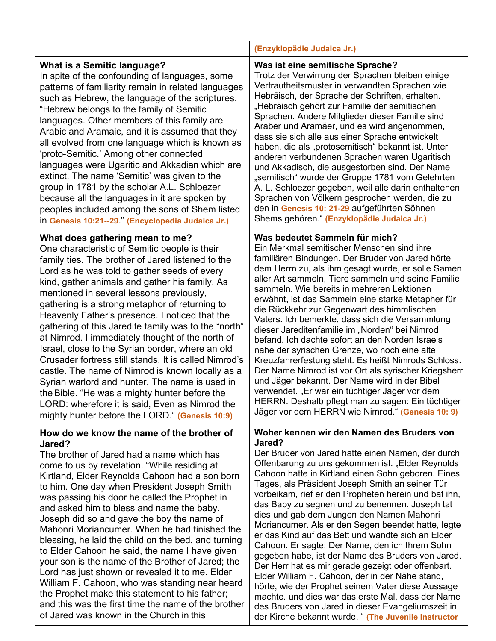|                                                                                                                                                                                                                                                                                                                                                                                                                                                                                                                                                                                                                                                                                                                                                                                                                                                                             | (Enzyklopädie Judaica Jr.)                                                                                                                                                                                                                                                                                                                                                                                                                                                                                                                                                                                                                                                                                                                                                                                                                                                                                                                                                       |
|-----------------------------------------------------------------------------------------------------------------------------------------------------------------------------------------------------------------------------------------------------------------------------------------------------------------------------------------------------------------------------------------------------------------------------------------------------------------------------------------------------------------------------------------------------------------------------------------------------------------------------------------------------------------------------------------------------------------------------------------------------------------------------------------------------------------------------------------------------------------------------|----------------------------------------------------------------------------------------------------------------------------------------------------------------------------------------------------------------------------------------------------------------------------------------------------------------------------------------------------------------------------------------------------------------------------------------------------------------------------------------------------------------------------------------------------------------------------------------------------------------------------------------------------------------------------------------------------------------------------------------------------------------------------------------------------------------------------------------------------------------------------------------------------------------------------------------------------------------------------------|
| <b>What is a Semitic language?</b><br>In spite of the confounding of languages, some<br>patterns of familiarity remain in related languages<br>such as Hebrew, the language of the scriptures.<br>"Hebrew belongs to the family of Semitic<br>languages. Other members of this family are<br>Arabic and Aramaic, and it is assumed that they<br>all evolved from one language which is known as<br>'proto-Semitic.' Among other connected<br>languages were Ugaritic and Akkadian which are<br>extinct. The name 'Semitic' was given to the<br>group in 1781 by the scholar A.L. Schloezer<br>because all the languages in it are spoken by<br>peoples included among the sons of Shem listed<br>in Genesis 10:21--29." (Encyclopedia Judaica Jr.)                                                                                                                          | Was ist eine semitische Sprache?<br>Trotz der Verwirrung der Sprachen bleiben einige<br>Vertrautheitsmuster in verwandten Sprachen wie<br>Hebräisch, der Sprache der Schriften, erhalten.<br>"Hebräisch gehört zur Familie der semitischen<br>Sprachen. Andere Mitglieder dieser Familie sind<br>Araber und Aramäer, und es wird angenommen,<br>dass sie sich alle aus einer Sprache entwickelt<br>haben, die als "protosemitisch" bekannt ist. Unter<br>anderen verbundenen Sprachen waren Ugaritisch<br>und Akkadisch, die ausgestorben sind. Der Name<br>"semitisch" wurde der Gruppe 1781 vom Gelehrten<br>A. L. Schloezer gegeben, weil alle darin enthaltenen<br>Sprachen von Völkern gesprochen werden, die zu<br>den in Genesis 10: 21-29 aufgeführten Söhnen<br>Shems gehören." (Enzyklopädie Judaica Jr.)                                                                                                                                                              |
| What does gathering mean to me?<br>One characteristic of Semitic people is their<br>family ties. The brother of Jared listened to the<br>Lord as he was told to gather seeds of every<br>kind, gather animals and gather his family. As<br>mentioned in several lessons previously,<br>gathering is a strong metaphor of returning to<br>Heavenly Father's presence. I noticed that the<br>gathering of this Jaredite family was to the "north"<br>at Nimrod. I immediately thought of the north of<br>Israel, close to the Syrian border, where an old<br>Crusader fortress still stands. It is called Nimrod's<br>castle. The name of Nimrod is known locally as a<br>Syrian warlord and hunter. The name is used in<br>the Bible. "He was a mighty hunter before the<br>LORD: wherefore it is said, Even as Nimrod the<br>mighty hunter before the LORD." (Genesis 10:9) | Was bedeutet Sammeln für mich?<br>Ein Merkmal semitischer Menschen sind ihre<br>familiären Bindungen. Der Bruder von Jared hörte<br>dem Herrn zu, als ihm gesagt wurde, er solle Samen<br>aller Art sammeln, Tiere sammeln und seine Familie<br>sammeln. Wie bereits in mehreren Lektionen<br>erwähnt, ist das Sammeln eine starke Metapher für<br>die Rückkehr zur Gegenwart des himmlischen<br>Vaters. Ich bemerkte, dass sich die Versammlung<br>dieser Jareditenfamilie im "Norden" bei Nimrod<br>befand. Ich dachte sofort an den Norden Israels<br>nahe der syrischen Grenze, wo noch eine alte<br>Kreuzfahrerfestung steht. Es heißt Nimrods Schloss.<br>Der Name Nimrod ist vor Ort als syrischer Kriegsherr<br>und Jäger bekannt. Der Name wird in der Bibel<br>verwendet. "Er war ein tüchtiger Jäger vor dem<br>HERRN. Deshalb pflegt man zu sagen: Ein tüchtiger<br>Jäger vor dem HERRN wie Nimrod." (Genesis 10: 9)                                                 |
| How do we know the name of the brother of<br>Jared?<br>The brother of Jared had a name which has<br>come to us by revelation. "While residing at<br>Kirtland, Elder Reynolds Cahoon had a son born<br>to him. One day when President Joseph Smith<br>was passing his door he called the Prophet in<br>and asked him to bless and name the baby.<br>Joseph did so and gave the boy the name of<br>Mahonri Moriancumer. When he had finished the<br>blessing, he laid the child on the bed, and turning<br>to Elder Cahoon he said, the name I have given<br>your son is the name of the Brother of Jared; the<br>Lord has just shown or revealed it to me. Elder<br>William F. Cahoon, who was standing near heard<br>the Prophet make this statement to his father;<br>and this was the first time the name of the brother<br>of Jared was known in the Church in this      | Woher kennen wir den Namen des Bruders von<br>Jared?<br>Der Bruder von Jared hatte einen Namen, der durch<br>Offenbarung zu uns gekommen ist. "Elder Reynolds<br>Cahoon hatte in Kirtland einen Sohn geboren. Eines<br>Tages, als Präsident Joseph Smith an seiner Tür<br>vorbeikam, rief er den Propheten herein und bat ihn,<br>das Baby zu segnen und zu benennen. Joseph tat<br>dies und gab dem Jungen den Namen Mahonri<br>Moriancumer. Als er den Segen beendet hatte, legte<br>er das Kind auf das Bett und wandte sich an Elder<br>Cahoon. Er sagte: Der Name, den ich Ihrem Sohn<br>gegeben habe, ist der Name des Bruders von Jared.<br>Der Herr hat es mir gerade gezeigt oder offenbart.<br>Elder William F. Cahoon, der in der Nähe stand,<br>hörte, wie der Prophet seinem Vater diese Aussage<br>machte. und dies war das erste Mal, dass der Name<br>des Bruders von Jared in dieser Evangeliumszeit in<br>der Kirche bekannt wurde. " (The Juvenile Instructor |